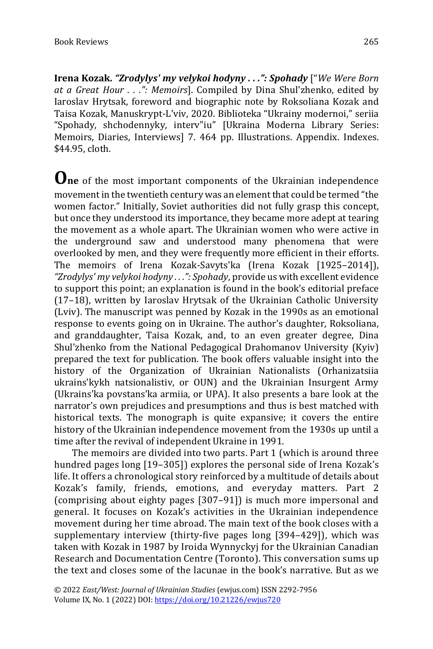**Irena Kozak.** *"Zrodylys' my velykoi hodyny . . .": Spohady* ["*We Were Born at a Great Hour . . .": Memoirs*]. Compiled by Dina Shul'zhenko, edited by Iaroslav Hrytsak, foreword and biographic note by Roksoliana Kozak and Taisa Kozak, Manuskrypt-L'viv, 2020. Biblioteka "Ukrainy modernoi," seriia "Spohady, shchodennyky, interv"iu" [Ukraina Moderna Library Series: Memoirs, Diaries, Interviews] 7. 464 pp. Illustrations. Appendix. Indexes. \$44.95, cloth.

**One** of the most important components of the Ukrainian independence movement in the twentieth century was an element that could be termed "the women factor." Initially, Soviet authorities did not fully grasp this concept, but once they understood its importance, they became more adept at tearing the movement as a whole apart. The Ukrainian women who were active in the underground saw and understood many phenomena that were overlooked by men, and they were frequently more efficient in their efforts. The memoirs of Irena Kozak-Savyts'ka (Irena Kozak [1925–2014]), *"Zrodylys' my velykoi hodyny . . .": Spohady*, provide us with excellent evidence to support this point; an explanation is found in the book's editorial preface (17–18), written by Iaroslav Hrytsak of the Ukrainian Catholic University (Lviv). The manuscript was penned by Kozak in the 1990s as an emotional response to events going on in Ukraine. The author's daughter, Roksoliana, and granddaughter, Taisa Kozak, and, to an even greater degree, Dina Shul'zhenko from the National Pedagogical Drahomanov University (Kyiv) prepared the text for publication. The book offers valuable insight into the history of the Organization of Ukrainian Nationalists (Orhanizatsiia ukrains'kykh natsionalistiv, or OUN) and the Ukrainian Insurgent Army (Ukrains'ka povstans'ka armiia, or UPA). It also presents a bare look at the narrator's own prejudices and presumptions and thus is best matched with historical texts. The monograph is quite expansive; it covers the entire history of the Ukrainian independence movement from the 1930s up until a time after the revival of independent Ukraine in 1991.

The memoirs are divided into two parts. Part 1 (which is around three hundred pages long [19–305]) explores the personal side of Irena Kozak's life. It offers a chronological story reinforced by a multitude of details about Kozak's family, friends, emotions, and everyday matters. Part 2 (comprising about eighty pages [307–91]) is much more impersonal and general. It focuses on Kozak's activities in the Ukrainian independence movement during her time abroad. The main text of the book closes with a supplementary interview (thirty-five pages long [394–429]), which was taken with Kozak in 1987 by Iroida Wynnyckyj for the Ukrainian Canadian Research and Documentation Centre (Toronto). This conversation sums up the text and closes some of the lacunae in the book's narrative. But as we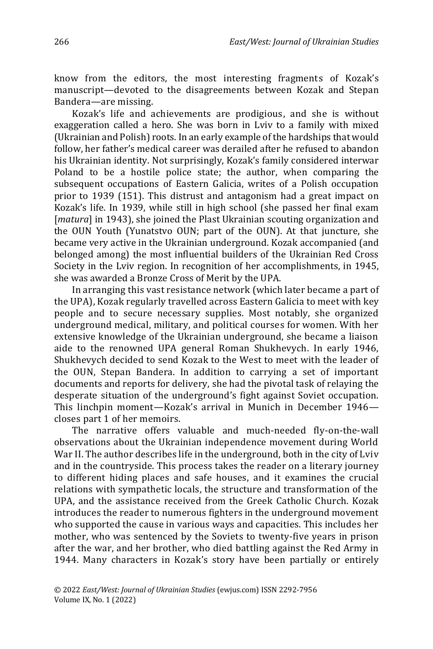know from the editors, the most interesting fragments of Kozak's manuscript—devoted to the disagreements between Kozak and Stepan Bandera—are missing.

Kozak's life and achievements are prodigious, and she is without exaggeration called a hero. She was born in Lviv to a family with mixed (Ukrainian and Polish) roots. In an early example of the hardships that would follow, her father's medical career was derailed after he refused to abandon his Ukrainian identity. Not surprisingly, Kozak's family considered interwar Poland to be a hostile police state; the author, when comparing the subsequent occupations of Eastern Galicia, writes of a Polish occupation prior to 1939 (151). This distrust and antagonism had a great impact on Kozak's life. In 1939, while still in high school (she passed her final exam [*matura*] in 1943], she joined the Plast Ukrainian scouting organization and the OUN Youth (Yunatstvo OUN; part of the OUN). At that juncture, she became very active in the Ukrainian underground. Kozak accompanied (and belonged among) the most influential builders of the Ukrainian Red Cross Society in the Lviv region. In recognition of her accomplishments, in 1945, she was awarded a Bronze Cross of Merit by the UPA.

In arranging this vast resistance network (which later became a part of the UPA), Kozak regularly travelled across Eastern Galicia to meet with key people and to secure necessary supplies. Most notably, she organized underground medical, military, and political courses for women. With her extensive knowledge of the Ukrainian underground, she became a liaison aide to the renowned UPA general Roman Shukhevych. In early 1946, Shukhevych decided to send Kozak to the West to meet with the leader of the OUN, Stepan Bandera. In addition to carrying a set of important documents and reports for delivery, she had the pivotal task of relaying the desperate situation of the underground's fight against Soviet occupation. This linchpin moment—Kozak's arrival in Munich in December 1946 closes part 1 of her memoirs.

The narrative offers valuable and much-needed fly-on-the-wall observations about the Ukrainian independence movement during World War II. The author describes life in the underground, both in the city of Lviv and in the countryside. This process takes the reader on a literary journey to different hiding places and safe houses, and it examines the crucial relations with sympathetic locals, the structure and transformation of the UPA, and the assistance received from the Greek Catholic Church. Kozak introduces the reader to numerous fighters in the underground movement who supported the cause in various ways and capacities. This includes her mother, who was sentenced by the Soviets to twenty-five years in prison after the war, and her brother, who died battling against the Red Army in 1944. Many characters in Kozak's story have been partially or entirely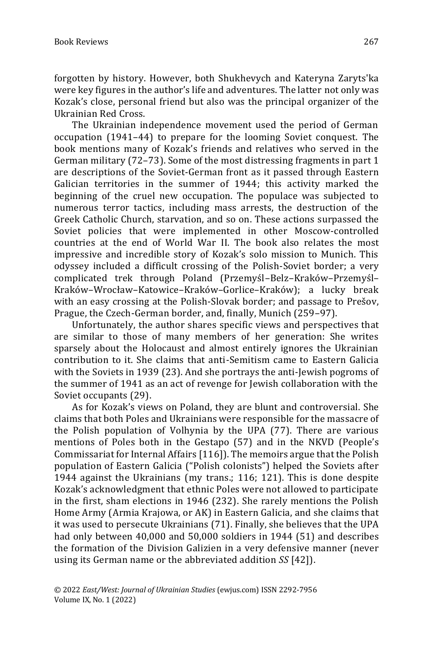forgotten by history. However, both Shukhevych and Kateryna Zaryts'ka were key figures in the author's life and adventures. The latter not only was Kozak's close, personal friend but also was the principal organizer of the Ukrainian Red Cross.

The Ukrainian independence movement used the period of German occupation (1941–44) to prepare for the looming Soviet conquest. The book mentions many of Kozak's friends and relatives who served in the German military (72–73). Some of the most distressing fragments in part 1 are descriptions of the Soviet-German front as it passed through Eastern Galician territories in the summer of 1944; this activity marked the beginning of the cruel new occupation. The populace was subjected to numerous terror tactics, including mass arrests, the destruction of the Greek Catholic Church, starvation, and so on. These actions surpassed the Soviet policies that were implemented in other Moscow-controlled countries at the end of World War II. The book also relates the most impressive and incredible story of Kozak's solo mission to Munich. This odyssey included a difficult crossing of the Polish-Soviet border; a very complicated trek through Poland (Przemyśl–Belz–Kraków–Przemyśl– Kraków–Wrocław–Katowice–Kraków–Gorlice–Kraków); a lucky break with an easy crossing at the Polish-Slovak border; and passage to Prešov, Prague, the Czech-German border, and, finally, Munich (259–97).

Unfortunately, the author shares specific views and perspectives that are similar to those of many members of her generation: She writes sparsely about the Holocaust and almost entirely ignores the Ukrainian contribution to it. She claims that anti-Semitism came to Eastern Galicia with the Soviets in 1939 (23). And she portrays the anti-Jewish pogroms of the summer of 1941 as an act of revenge for Jewish collaboration with the Soviet occupants (29).

As for Kozak's views on Poland, they are blunt and controversial. She claims that both Poles and Ukrainians were responsible for the massacre of the Polish population of Volhynia by the UPA (77). There are various mentions of Poles both in the Gestapo (57) and in the NKVD (People's Commissariat for Internal Affairs [116]). The memoirs argue that the Polish population of Eastern Galicia ("Polish colonists") helped the Soviets after 1944 against the Ukrainians (my trans.; 116; 121). This is done despite Kozak's acknowledgment that ethnic Poles were not allowed to participate in the first, sham elections in 1946 (232). She rarely mentions the Polish Home Army (Armia Krajowa, or AK) in Eastern Galicia, and she claims that it was used to persecute Ukrainians (71). Finally, she believes that the UPA had only between 40,000 and 50,000 soldiers in 1944 (51) and describes the formation of the Division Galizien in a very defensive manner (never using its German name or the abbreviated addition *SS* [42]).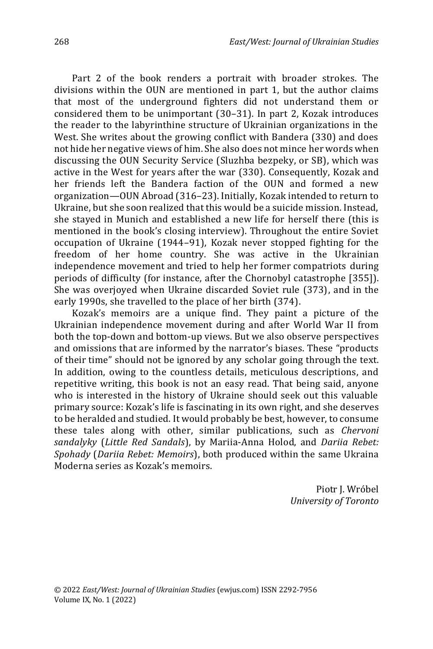Part 2 of the book renders a portrait with broader strokes. The divisions within the OUN are mentioned in part 1, but the author claims that most of the underground fighters did not understand them or considered them to be unimportant (30–31). In part 2, Kozak introduces the reader to the labyrinthine structure of Ukrainian organizations in the West. She writes about the growing conflict with Bandera (330) and does not hide her negative views of him. She also does not mince her words when discussing the OUN Security Service (Sluzhba bezpeky, or SB), which was active in the West for years after the war (330). Consequently, Kozak and her friends left the Bandera faction of the OUN and formed a new organization—OUN Abroad (316–23). Initially, Kozak intended to return to Ukraine, but she soon realized that this would be a suicide mission. Instead, she stayed in Munich and established a new life for herself there (this is mentioned in the book's closing interview). Throughout the entire Soviet occupation of Ukraine (1944–91), Kozak never stopped fighting for the freedom of her home country. She was active in the Ukrainian independence movement and tried to help her former compatriots during periods of difficulty (for instance, after the Chornobyl catastrophe [355]). She was overjoyed when Ukraine discarded Soviet rule (373), and in the early 1990s, she travelled to the place of her birth (374).

Kozak's memoirs are a unique find. They paint a picture of the Ukrainian independence movement during and after World War II from both the top-down and bottom-up views. But we also observe perspectives and omissions that are informed by the narrator's biases. These "products of their time" should not be ignored by any scholar going through the text. In addition, owing to the countless details, meticulous descriptions, and repetitive writing, this book is not an easy read. That being said, anyone who is interested in the history of Ukraine should seek out this valuable primary source: Kozak's life is fascinating in its own right, and she deserves to be heralded and studied. It would probably be best, however, to consume these tales along with other, similar publications, such as *Chervoni sandalyky* (*Little Red Sandals*), by Mariia-Anna Holod, and *Dariia Rebet: Spohady* (*Dariia Rebet: Memoirs*), both produced within the same Ukraina Moderna series as Kozak's memoirs.

> Piotr J. Wróbel *University of Toronto*